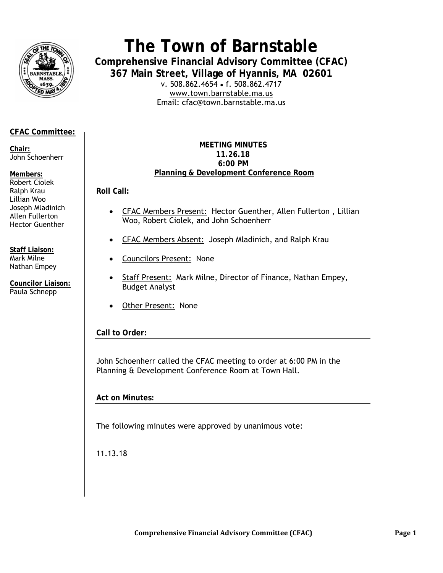

# **The Town of Barnstable**

**Comprehensive Financial Advisory Committee (CFAC) 367 Main Street, Village of Hyannis, MA 02601** 

v. 508.862.4654 • f. 508.862.4717 www.town.barnstable.ma.us Email: cfac@town.barnstable.ma.us

# **CFAC Committee:**

**Chair:**  John Schoenherr

#### **Members:**

Robert Ciolek Ralph Krau Lillian Woo Joseph Mladinich Allen Fullerton Hector Guenther

**Staff Liaison:**  Mark Milne Nathan Empey

**Councilor Liaison:**  Paula Schnepp

# **MEETING MINUTES 11.26.18 6:00 PM Planning & Development Conference Room**

**Roll Call:** 

- CFAC Members Present: Hector Guenther, Allen Fullerton , Lillian Woo, Robert Ciolek, and John Schoenherr
- CFAC Members Absent: Joseph Mladinich, and Ralph Krau
- Councilors Present:None
- Staff Present: Mark Milne, Director of Finance, Nathan Empey, Budget Analyst
- Other Present: None

**Call to Order:** 

John Schoenherr called the CFAC meeting to order at 6:00 PM in the Planning & Development Conference Room at Town Hall.

**Act on Minutes:** 

The following minutes were approved by unanimous vote:

11.13.18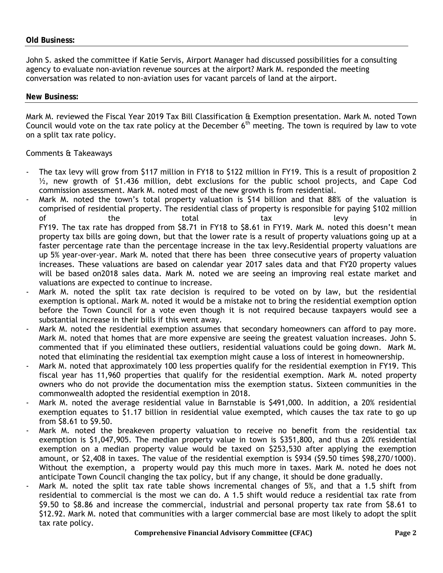John S. asked the committee if Katie Servis, Airport Manager had discussed possibilities for a consulting agency to evaluate non-aviation revenue sources at the airport? Mark M. responded the meeting conversation was related to non-aviation uses for vacant parcels of land at the airport.

#### **New Business:**

Mark M. reviewed the Fiscal Year 2019 Tax Bill Classification & Exemption presentation. Mark M. noted Town Council would vote on the tax rate policy at the December  $6<sup>th</sup>$  meeting. The town is required by law to vote on a split tax rate policy.

# Comments & Takeaways

- The tax levy will grow from \$117 million in FY18 to \$122 million in FY19. This is a result of proposition 2  $\frac{1}{2}$ , new growth of \$1.436 million, debt exclusions for the public school projects, and Cape Cod commission assessment. Mark M. noted most of the new growth is from residential.
- Mark M. noted the town's total property valuation is \$14 billion and that 88% of the valuation is comprised of residential property. The residential class of property is responsible for paying \$102 million of the total tax levy in FY19. The tax rate has dropped from \$8.71 in FY18 to \$8.61 in FY19. Mark M. noted this doesn't mean property tax bills are going down, but that the lower rate is a result of property valuations going up at a faster percentage rate than the percentage increase in the tax levy.Residential property valuations are up 5% year-over-year. Mark M. noted that there has been three consecutive years of property valuation increases. These valuations are based on calendar year 2017 sales data and that FY20 property values will be based on2018 sales data. Mark M. noted we are seeing an improving real estate market and valuations are expected to continue to increase.
- Mark M. noted the split tax rate decision is required to be voted on by law, but the residential exemption is optional. Mark M. noted it would be a mistake not to bring the residential exemption option before the Town Council for a vote even though it is not required because taxpayers would see a substantial increase in their bills if this went away.
- Mark M. noted the residential exemption assumes that secondary homeowners can afford to pay more. Mark M. noted that homes that are more expensive are seeing the greatest valuation increases. John S. commented that if you eliminated these outliers, residential valuations could be going down. Mark M. noted that eliminating the residential tax exemption might cause a loss of interest in homeownership.
- Mark M. noted that approximately 100 less properties qualify for the residential exemption in FY19. This fiscal year has 11,960 properties that qualify for the residential exemption. Mark M. noted property owners who do not provide the documentation miss the exemption status. Sixteen communities in the commonwealth adopted the residential exemption in 2018.
- Mark M. noted the average residential value in Barnstable is \$491,000. In addition, a 20% residential exemption equates to \$1.17 billion in residential value exempted, which causes the tax rate to go up from \$8.61 to \$9.50.
- Mark M. noted the breakeven property valuation to receive no benefit from the residential tax exemption is \$1,047,905. The median property value in town is \$351,800, and thus a 20% residential exemption on a median property value would be taxed on \$253,530 after applying the exemption amount, or \$2,408 in taxes. The value of the residential exemption is \$934 (\$9.50 times \$98,270/1000). Without the exemption, a property would pay this much more in taxes. Mark M. noted he does not anticipate Town Council changing the tax policy, but if any change, it should be done gradually.
- Mark M. noted the split tax rate table shows incremental changes of 5%, and that a 1.5 shift from residential to commercial is the most we can do. A 1.5 shift would reduce a residential tax rate from \$9.50 to \$8.86 and increase the commercial, industrial and personal property tax rate from \$8.61 to \$12.92. Mark M. noted that communities with a larger commercial base are most likely to adopt the split tax rate policy.